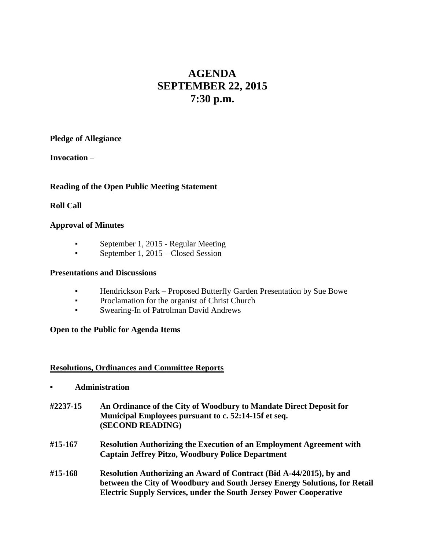# **AGENDA SEPTEMBER 22, 2015 7:30 p.m.**

**Pledge of Allegiance**

**Invocation** –

# **Reading of the Open Public Meeting Statement**

# **Roll Call**

## **Approval of Minutes**

- **•** September 1, 2015 Regular Meeting
- September 1, 2015 Closed Session

#### **Presentations and Discussions**

- Hendrickson Park Proposed Butterfly Garden Presentation by Sue Bowe
- Proclamation for the organist of Christ Church
- Swearing-In of Patrolman David Andrews

#### **Open to the Public for Agenda Items**

#### **Resolutions, Ordinances and Committee Reports**

- **• Administration**
- **#2237-15 An Ordinance of the City of Woodbury to Mandate Direct Deposit for Municipal Employees pursuant to c. 52:14-15f et seq. (SECOND READING)**
- **#15-167 Resolution Authorizing the Execution of an Employment Agreement with Captain Jeffrey Pitzo, Woodbury Police Department**
- **#15-168 Resolution Authorizing an Award of Contract (Bid A-44/2015), by and between the City of Woodbury and South Jersey Energy Solutions, for Retail Electric Supply Services, under the South Jersey Power Cooperative**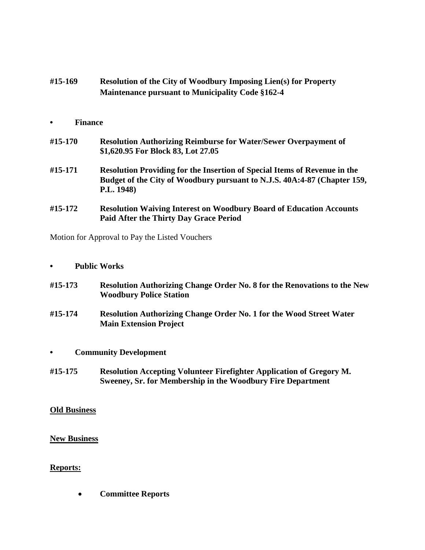| #15-169 | <b>Resolution of the City of Woodbury Imposing Lien(s) for Property</b> |
|---------|-------------------------------------------------------------------------|
|         | <b>Maintenance pursuant to Municipality Code §162-4</b>                 |

## **• Finance**

| #15-170 | <b>Resolution Authorizing Reimburse for Water/Sewer Overpayment of</b> |
|---------|------------------------------------------------------------------------|
|         | \$1,620.95 For Block 83, Lot 27.05                                     |

- **#15-171 Resolution Providing for the Insertion of Special Items of Revenue in the Budget of the City of Woodbury pursuant to N.J.S. 40A:4-87 (Chapter 159, P.L. 1948)**
- **#15-172 Resolution Waiving Interest on Woodbury Board of Education Accounts Paid After the Thirty Day Grace Period**

Motion for Approval to Pay the Listed Vouchers

- **• Public Works**
- **#15-173 Resolution Authorizing Change Order No. 8 for the Renovations to the New Woodbury Police Station**
- **#15-174 Resolution Authorizing Change Order No. 1 for the Wood Street Water Main Extension Project**
- **• Community Development**
- **#15-175 Resolution Accepting Volunteer Firefighter Application of Gregory M. Sweeney, Sr. for Membership in the Woodbury Fire Department**

#### **Old Business**

#### **New Business**

#### **Reports:**

**Committee Reports**